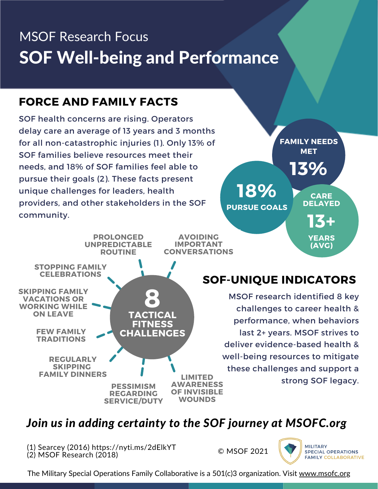# MSOF Research Focus SOF Well-being and Performance

### **FORCE AND FAMILY FACTS**

SOF health concerns are rising. Operators delay care an average of 13 years and 3 months for all non-catastrophic injuries (1). Only 13% of SOF families believe resources meet their needs, and 18% of SOF families feel able to pursue their goals (2). These facts present unique challenges for leaders, health providers, and other stakeholders in the SOF community.





## **SOF-UNIQUE INDICATORS**

MSOF research identified 8 key challenges to career health & performance, when behaviors last 2+ years. MSOF strives to deliver evidence-based health & well-being resources to mitigate these challenges and support a strong SOF legacy.

### *Join us in adding certainty to the SOF journey at MSOFC.org*

(1) Searcey (2016) https://nyti.ms/2dElkYT (2) MSOF Research (2018)

© MSOF 2021



The Military Special Operations Family Collaborative is a 501(c)3 organization. Visit [www.msofc.org](http://www.msofc.org/)